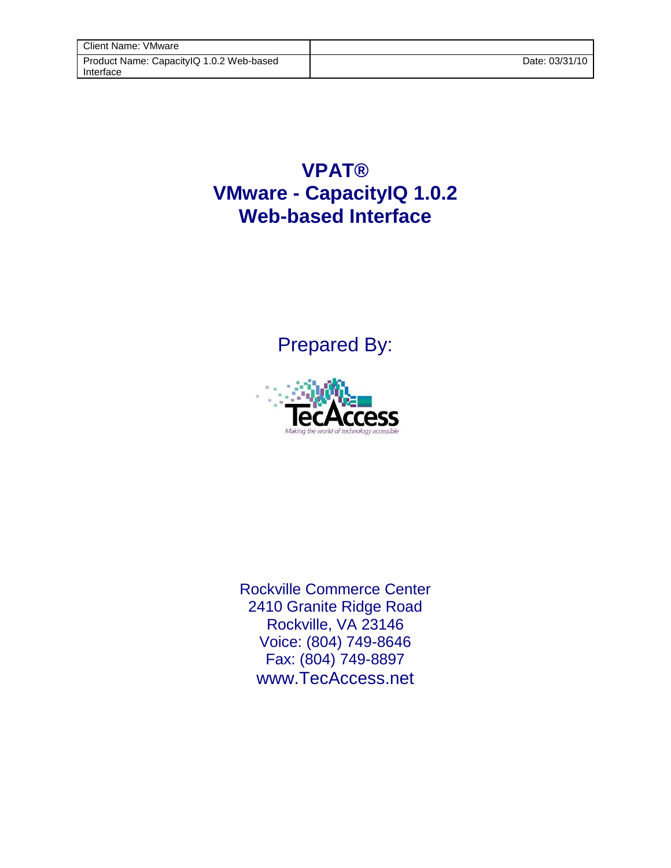## **VPAT® VMware - CapacityIQ 1.0.2 Web-based Interface**

Prepared By:



Rockville Commerce Center 2410 Granite Ridge Road Rockville, VA 23146 Voice: (804) 749-8646 Fax: (804) 749-8897 www.TecAccess.net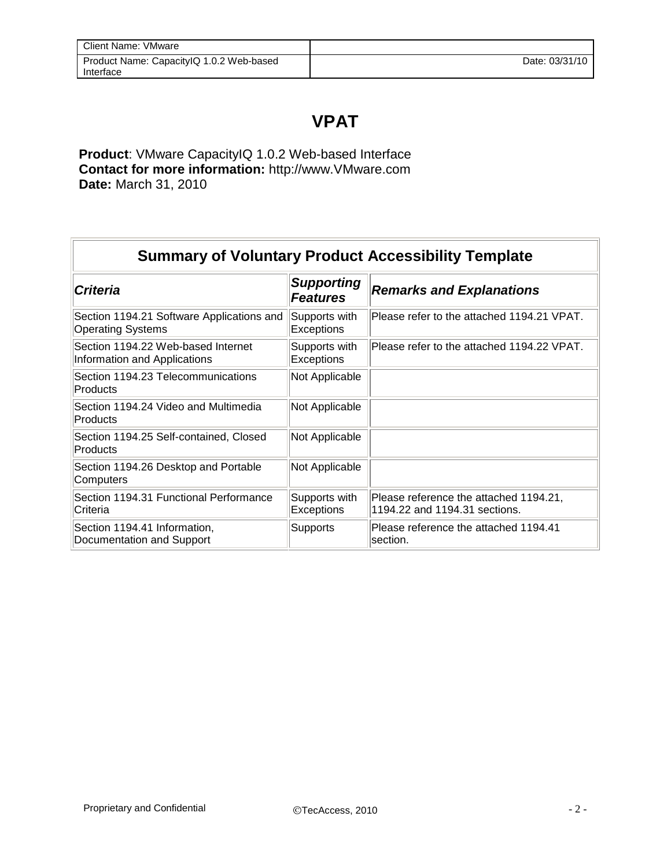## **VPAT**

**Product**: VMware CapacityIQ 1.0.2 Web-based Interface **Contact for more information:** http://www.VMware.com **Date:** March 31, 2010

| <b>Summary of Voluntary Product Accessibility Template</b>            |                                      |                                                                         |
|-----------------------------------------------------------------------|--------------------------------------|-------------------------------------------------------------------------|
| <b>Criteria</b>                                                       | <b>Supporting</b><br><b>Features</b> | <b>Remarks and Explanations</b>                                         |
| Section 1194.21 Software Applications and<br><b>Operating Systems</b> | Supports with<br>Exceptions          | Please refer to the attached 1194.21 VPAT.                              |
| Section 1194.22 Web-based Internet<br>Information and Applications    | Supports with<br>Exceptions          | Please refer to the attached 1194.22 VPAT.                              |
| Section 1194.23 Telecommunications<br>Products                        | Not Applicable                       |                                                                         |
| Section 1194.24 Video and Multimedia<br>Products                      | Not Applicable                       |                                                                         |
| Section 1194.25 Self-contained, Closed<br>Products                    | Not Applicable                       |                                                                         |
| Section 1194.26 Desktop and Portable<br>Computers                     | Not Applicable                       |                                                                         |
| Section 1194.31 Functional Performance<br>lCriteria                   | Supports with<br>Exceptions          | Please reference the attached 1194.21,<br>1194.22 and 1194.31 sections. |
| Section 1194.41 Information,<br>Documentation and Support             | <b>Supports</b>                      | Please reference the attached 1194.41<br>section.                       |

 $\overline{r}$ 

٣Ì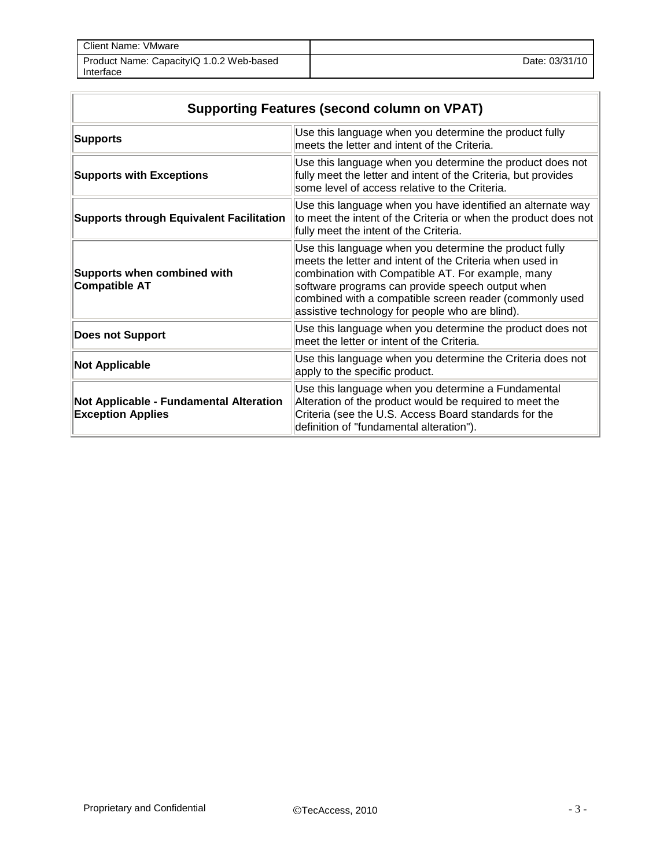| Client Name: VMware                                   |                |
|-------------------------------------------------------|----------------|
| Product Name: CapacityIQ 1.0.2 Web-based<br>Interface | Date: 03/31/10 |

| <b>Supporting Features (second column on VPAT)</b>                         |                                                                                                                                                                                                                                                                                                                                           |  |
|----------------------------------------------------------------------------|-------------------------------------------------------------------------------------------------------------------------------------------------------------------------------------------------------------------------------------------------------------------------------------------------------------------------------------------|--|
| <b>Supports</b>                                                            | Use this language when you determine the product fully<br>meets the letter and intent of the Criteria.                                                                                                                                                                                                                                    |  |
| <b>Supports with Exceptions</b>                                            | Use this language when you determine the product does not<br>fully meet the letter and intent of the Criteria, but provides<br>some level of access relative to the Criteria.                                                                                                                                                             |  |
| <b>Supports through Equivalent Facilitation</b>                            | Use this language when you have identified an alternate way<br>to meet the intent of the Criteria or when the product does not<br>fully meet the intent of the Criteria.                                                                                                                                                                  |  |
| <b>Supports when combined with</b><br><b>Compatible AT</b>                 | Use this language when you determine the product fully<br>meets the letter and intent of the Criteria when used in<br>combination with Compatible AT. For example, many<br>software programs can provide speech output when<br>combined with a compatible screen reader (commonly used<br>assistive technology for people who are blind). |  |
| <b>Does not Support</b>                                                    | Use this language when you determine the product does not<br>meet the letter or intent of the Criteria.                                                                                                                                                                                                                                   |  |
| <b>Not Applicable</b>                                                      | Use this language when you determine the Criteria does not<br>apply to the specific product.                                                                                                                                                                                                                                              |  |
| <b>Not Applicable - Fundamental Alteration</b><br><b>Exception Applies</b> | Use this language when you determine a Fundamental<br>Alteration of the product would be required to meet the<br>Criteria (see the U.S. Access Board standards for the<br>definition of "fundamental alteration").                                                                                                                        |  |

Ī.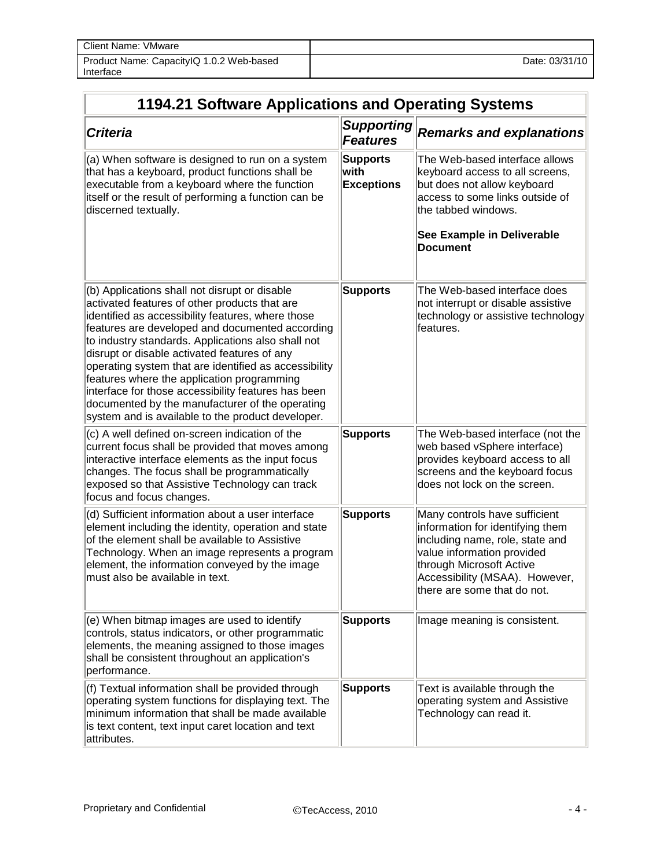| Client Name: VMware                                   |                |
|-------------------------------------------------------|----------------|
| Product Name: Capacity Q 1.0.2 Web-based<br>Interface | Date: 03/31/10 |

| 1194.21 Software Applications and Operating Systems                                                                                                                                                                                                                                                                                                                                                                                                                                                                                                                                |                                              |                                                                                                                                                                                                                                 |
|------------------------------------------------------------------------------------------------------------------------------------------------------------------------------------------------------------------------------------------------------------------------------------------------------------------------------------------------------------------------------------------------------------------------------------------------------------------------------------------------------------------------------------------------------------------------------------|----------------------------------------------|---------------------------------------------------------------------------------------------------------------------------------------------------------------------------------------------------------------------------------|
| <b>Criteria</b>                                                                                                                                                                                                                                                                                                                                                                                                                                                                                                                                                                    | <b>Supporting</b><br><b>Features</b>         | <b>Remarks and explanations</b>                                                                                                                                                                                                 |
| (a) When software is designed to run on a system<br>that has a keyboard, product functions shall be<br>executable from a keyboard where the function<br>itself or the result of performing a function can be<br>discerned textually.                                                                                                                                                                                                                                                                                                                                               | <b>Supports</b><br>with<br><b>Exceptions</b> | The Web-based interface allows<br>keyboard access to all screens,<br>but does not allow keyboard<br>access to some links outside of<br>the tabbed windows.<br>See Example in Deliverable<br><b>Document</b>                     |
| (b) Applications shall not disrupt or disable<br>activated features of other products that are<br>identified as accessibility features, where those<br>features are developed and documented according<br>to industry standards. Applications also shall not<br>disrupt or disable activated features of any<br>operating system that are identified as accessibility<br>features where the application programming<br>interface for those accessibility features has been<br>documented by the manufacturer of the operating<br>system and is available to the product developer. | <b>Supports</b>                              | The Web-based interface does<br>not interrupt or disable assistive<br>technology or assistive technology<br>features.                                                                                                           |
| (c) A well defined on-screen indication of the<br>current focus shall be provided that moves among<br>interactive interface elements as the input focus<br>changes. The focus shall be programmatically<br>exposed so that Assistive Technology can track<br>focus and focus changes.                                                                                                                                                                                                                                                                                              | <b>Supports</b>                              | The Web-based interface (not the<br>web based vSphere interface)<br>provides keyboard access to all<br>screens and the keyboard focus<br>does not lock on the screen.                                                           |
| (d) Sufficient information about a user interface<br>element including the identity, operation and state<br>of the element shall be available to Assistive<br>Technology. When an image represents a program<br>element, the information conveyed by the image<br>must also be available in text.                                                                                                                                                                                                                                                                                  | <b>Supports</b>                              | Many controls have sufficient<br>information for identifying them<br>including name, role, state and<br>value information provided<br>through Microsoft Active<br>Accessibility (MSAA). However,<br>there are some that do not. |
| (e) When bitmap images are used to identify<br>controls, status indicators, or other programmatic<br>elements, the meaning assigned to those images<br>shall be consistent throughout an application's<br>performance.                                                                                                                                                                                                                                                                                                                                                             | <b>Supports</b>                              | Image meaning is consistent.                                                                                                                                                                                                    |
| (f) Textual information shall be provided through<br>operating system functions for displaying text. The<br>minimum information that shall be made available<br>is text content, text input caret location and text<br>attributes.                                                                                                                                                                                                                                                                                                                                                 | <b>Supports</b>                              | Text is available through the<br>operating system and Assistive<br>Technology can read it.                                                                                                                                      |

 $\overline{\Gamma}$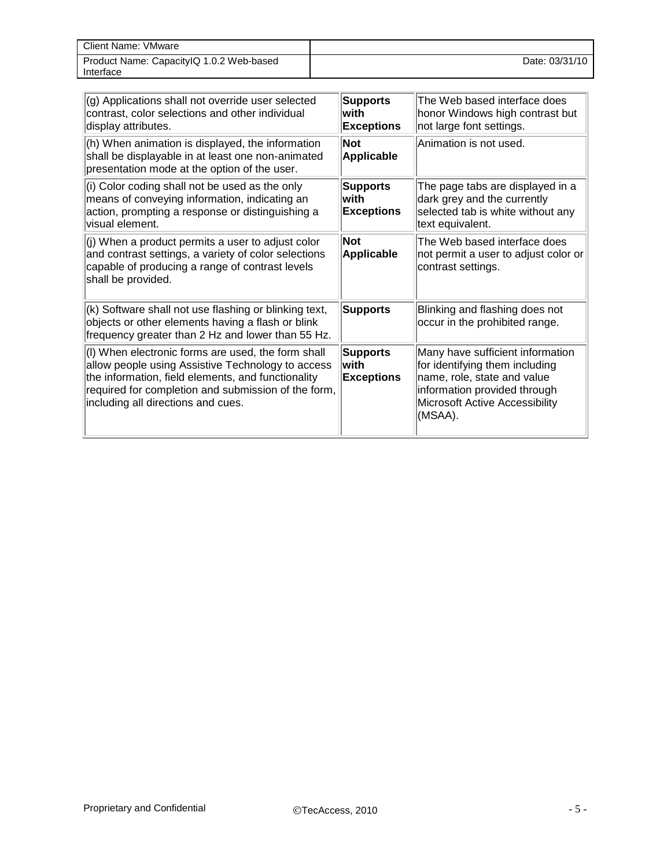| Client Name: VMware                                   |                |
|-------------------------------------------------------|----------------|
| Product Name: CapacityIQ 1.0.2 Web-based<br>Interface | Date: 03/31/10 |

| (g) Applications shall not override user selected<br>contrast, color selections and other individual<br>display attributes.                                                                                                                                | <b>Supports</b><br>lwith<br><b>Exceptions</b> | The Web based interface does<br>honor Windows high contrast but<br>not large font settings.                                                                                    |
|------------------------------------------------------------------------------------------------------------------------------------------------------------------------------------------------------------------------------------------------------------|-----------------------------------------------|--------------------------------------------------------------------------------------------------------------------------------------------------------------------------------|
| (h) When animation is displayed, the information<br>shall be displayable in at least one non-animated<br>presentation mode at the option of the user.                                                                                                      | <b>Not</b><br><b>Applicable</b>               | Animation is not used.                                                                                                                                                         |
| (i) Color coding shall not be used as the only<br>means of conveying information, indicating an<br>action, prompting a response or distinguishing a<br>visual element.                                                                                     | <b>Supports</b><br>lwith<br><b>Exceptions</b> | The page tabs are displayed in a<br>dark grey and the currently<br>selected tab is white without any<br>text equivalent.                                                       |
| (j) When a product permits a user to adjust color<br>and contrast settings, a variety of color selections<br>capable of producing a range of contrast levels<br>shall be provided.                                                                         | <b>Not</b><br>Applicable                      | The Web based interface does<br>not permit a user to adjust color or<br>contrast settings.                                                                                     |
| (k) Software shall not use flashing or blinking text,<br>objects or other elements having a flash or blink<br>frequency greater than 2 Hz and lower than 55 Hz.                                                                                            | <b>Supports</b>                               | Blinking and flashing does not<br>occur in the prohibited range.                                                                                                               |
| (I) When electronic forms are used, the form shall<br>allow people using Assistive Technology to access<br>the information, field elements, and functionality<br>required for completion and submission of the form,<br>including all directions and cues. | <b>Supports</b><br>lwith<br><b>Exceptions</b> | Many have sufficient information<br>for identifying them including<br>name, role, state and value<br>information provided through<br>Microsoft Active Accessibility<br>(MSAA). |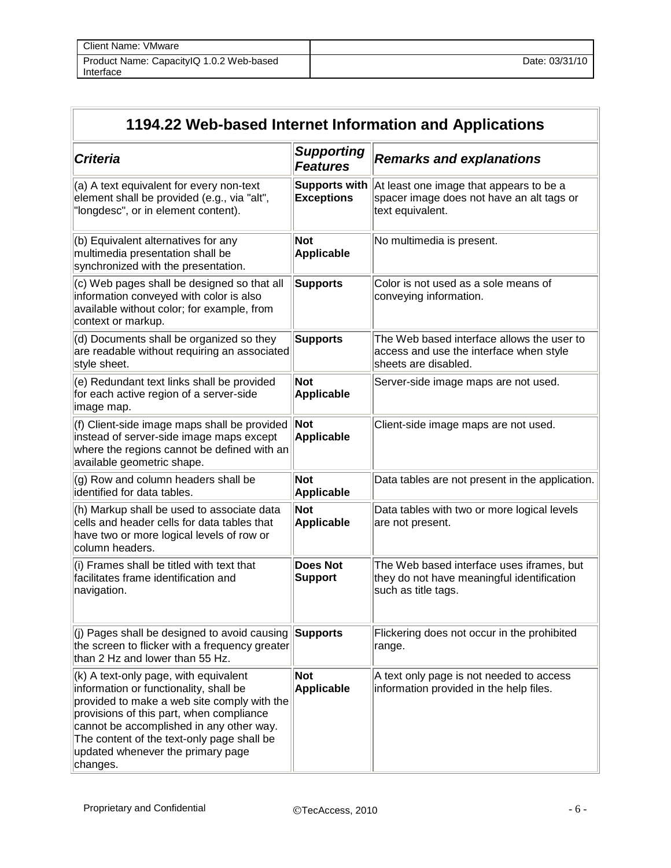| Client Name: VMware                                   |                |
|-------------------------------------------------------|----------------|
| Product Name: CapacityIQ 1.0.2 Web-based<br>Interface | Date: 03/31/10 |

| 1194.22 Web-based Internet Information and Applications                                                                                                                                                                                                                                                                 |                                           |                                                                                                                |
|-------------------------------------------------------------------------------------------------------------------------------------------------------------------------------------------------------------------------------------------------------------------------------------------------------------------------|-------------------------------------------|----------------------------------------------------------------------------------------------------------------|
| <b>Criteria</b>                                                                                                                                                                                                                                                                                                         | <b>Supporting</b><br><b>Features</b>      | <b>Remarks and explanations</b>                                                                                |
| (a) A text equivalent for every non-text<br>element shall be provided (e.g., via "alt",<br>"longdesc", or in element content).                                                                                                                                                                                          | <b>Supports with</b><br><b>Exceptions</b> | At least one image that appears to be a<br>spacer image does not have an alt tags or<br>text equivalent.       |
| (b) Equivalent alternatives for any<br>multimedia presentation shall be<br>synchronized with the presentation.                                                                                                                                                                                                          | Not<br><b>Applicable</b>                  | No multimedia is present.                                                                                      |
| (c) Web pages shall be designed so that all<br>information conveyed with color is also<br>available without color; for example, from<br>context or markup.                                                                                                                                                              | <b>Supports</b>                           | Color is not used as a sole means of<br>conveying information.                                                 |
| (d) Documents shall be organized so they<br>are readable without requiring an associated<br>style sheet.                                                                                                                                                                                                                | <b>Supports</b>                           | The Web based interface allows the user to<br>access and use the interface when style<br>sheets are disabled.  |
| (e) Redundant text links shall be provided<br>for each active region of a server-side<br>image map.                                                                                                                                                                                                                     | Not<br><b>Applicable</b>                  | Server-side image maps are not used.                                                                           |
| (f) Client-side image maps shall be provided<br>instead of server-side image maps except<br>where the regions cannot be defined with an<br>available geometric shape.                                                                                                                                                   | Not<br>Applicable                         | Client-side image maps are not used.                                                                           |
| (g) Row and column headers shall be<br>identified for data tables.                                                                                                                                                                                                                                                      | Not<br><b>Applicable</b>                  | Data tables are not present in the application.                                                                |
| (h) Markup shall be used to associate data<br>cells and header cells for data tables that<br>have two or more logical levels of row or<br>column headers.                                                                                                                                                               | <b>Not</b><br>Applicable                  | Data tables with two or more logical levels<br>are not present.                                                |
| (i) Frames shall be titled with text that<br>facilitates frame identification and<br>navigation.                                                                                                                                                                                                                        | <b>Does Not</b><br><b>Support</b>         | The Web based interface uses iframes, but<br>they do not have meaningful identification<br>such as title tags. |
| $\vert$ (j) Pages shall be designed to avoid causing<br>the screen to flicker with a frequency greater<br>than 2 Hz and lower than 55 Hz.                                                                                                                                                                               | <b>Supports</b>                           | Flickering does not occur in the prohibited<br>range.                                                          |
| $(k)$ A text-only page, with equivalent<br>information or functionality, shall be<br>provided to make a web site comply with the<br>provisions of this part, when compliance<br>cannot be accomplished in any other way.<br>The content of the text-only page shall be<br>updated whenever the primary page<br>changes. | Not<br><b>Applicable</b>                  | A text only page is not needed to access<br>information provided in the help files.                            |

 $\overline{a}$ 

 $\overline{a}$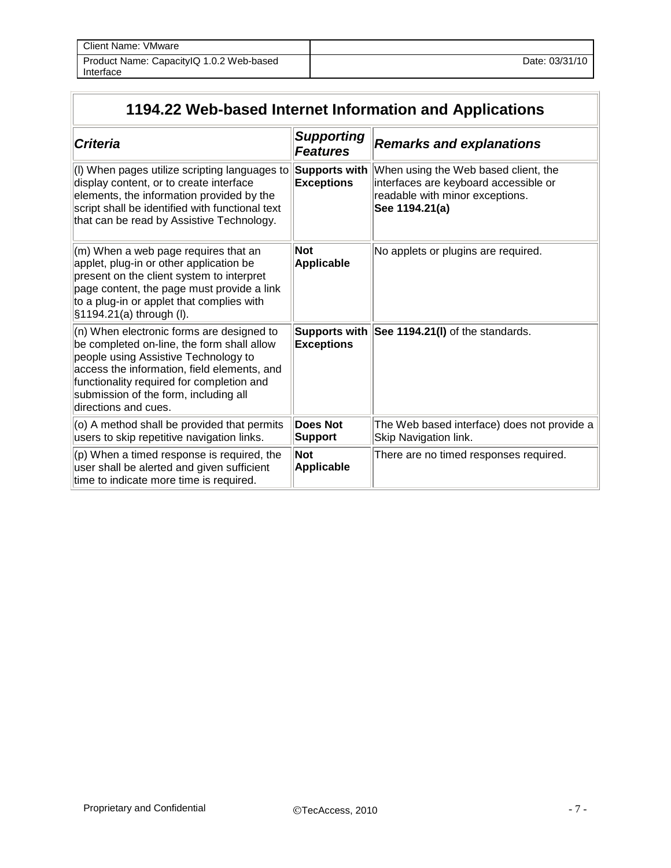| Client Name: VMware                      |                |
|------------------------------------------|----------------|
| Product Name: CapacityIQ 1.0.2 Web-based | Date: 03/31/10 |
| Interface                                |                |

## **1194.22 Web-based Internet Information and Applications**

| <b>Criteria</b>                                                                                                                                                                                                                                                                              | <b>Supporting</b><br><b>Features</b>      | <b>Remarks and explanations</b>                                                                                                    |
|----------------------------------------------------------------------------------------------------------------------------------------------------------------------------------------------------------------------------------------------------------------------------------------------|-------------------------------------------|------------------------------------------------------------------------------------------------------------------------------------|
| (I) When pages utilize scripting languages to<br>display content, or to create interface<br>elements, the information provided by the<br>script shall be identified with functional text<br>that can be read by Assistive Technology.                                                        | <b>Supports with</b><br><b>Exceptions</b> | When using the Web based client, the<br>interfaces are keyboard accessible or<br>readable with minor exceptions.<br>See 1194.21(a) |
| (m) When a web page requires that an<br>applet, plug-in or other application be<br>present on the client system to interpret<br>page content, the page must provide a link<br>to a plug-in or applet that complies with<br>§1194.21(a) through (I).                                          | <b>Not</b><br><b>Applicable</b>           | No applets or plugins are required.                                                                                                |
| (n) When electronic forms are designed to<br>be completed on-line, the form shall allow<br>people using Assistive Technology to<br>access the information, field elements, and<br>functionality required for completion and<br>submission of the form, including all<br>directions and cues. | <b>Exceptions</b>                         | Supports with See 1194.21(I) of the standards.                                                                                     |
| (o) A method shall be provided that permits<br>users to skip repetitive navigation links.                                                                                                                                                                                                    | <b>Does Not</b><br>Support                | The Web based interface) does not provide a<br>Skip Navigation link.                                                               |
| (p) When a timed response is required, the<br>user shall be alerted and given sufficient<br>time to indicate more time is required.                                                                                                                                                          | <b>Not</b><br><b>Applicable</b>           | There are no timed responses required.                                                                                             |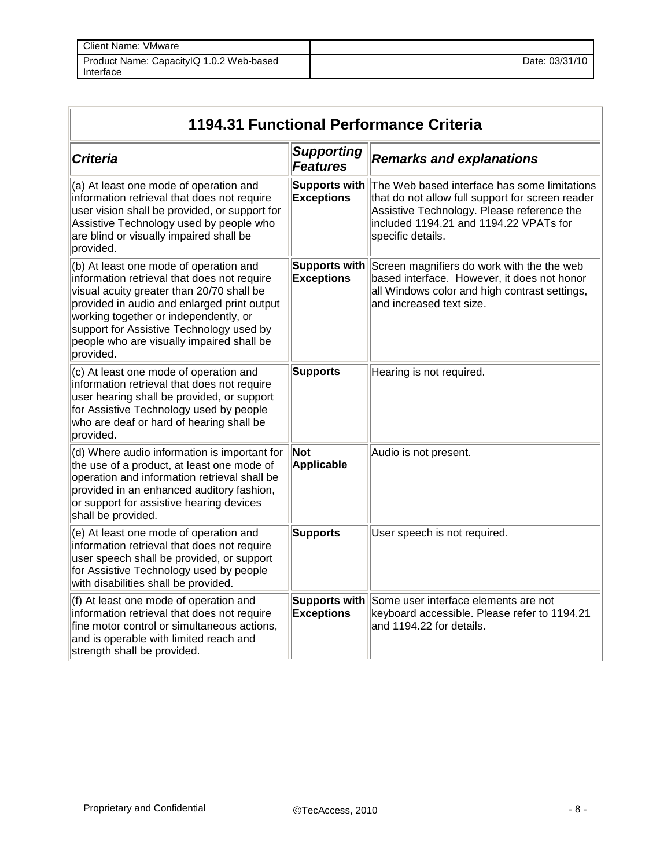| Client Name: VMware                                   |                |
|-------------------------------------------------------|----------------|
| Product Name: CapacityIQ 1.0.2 Web-based<br>Interface | Date: 03/31/10 |

| 1194.31 Functional Performance Criteria                                                                                                                                                                                                                                                                                          |                                      |                                                                                                                                                                                                               |  |  |
|----------------------------------------------------------------------------------------------------------------------------------------------------------------------------------------------------------------------------------------------------------------------------------------------------------------------------------|--------------------------------------|---------------------------------------------------------------------------------------------------------------------------------------------------------------------------------------------------------------|--|--|
| <b>Criteria</b>                                                                                                                                                                                                                                                                                                                  | <b>Supporting</b><br><b>Features</b> | <b>Remarks and explanations</b>                                                                                                                                                                               |  |  |
| (a) At least one mode of operation and<br>information retrieval that does not require<br>user vision shall be provided, or support for<br>Assistive Technology used by people who<br>are blind or visually impaired shall be<br>provided.                                                                                        | Supports with<br><b>Exceptions</b>   | The Web based interface has some limitations<br>that do not allow full support for screen reader<br>Assistive Technology. Please reference the<br>included 1194.21 and 1194.22 VPATs for<br>specific details. |  |  |
| (b) At least one mode of operation and<br>information retrieval that does not require<br>visual acuity greater than 20/70 shall be<br>provided in audio and enlarged print output<br>working together or independently, or<br>support for Assistive Technology used by<br>people who are visually impaired shall be<br>provided. | Supports with<br><b>Exceptions</b>   | Screen magnifiers do work with the the web<br>based interface. However, it does not honor<br>all Windows color and high contrast settings,<br>and increased text size.                                        |  |  |
| (c) At least one mode of operation and<br>information retrieval that does not require<br>user hearing shall be provided, or support<br>for Assistive Technology used by people<br>who are deaf or hard of hearing shall be<br>provided.                                                                                          | <b>Supports</b>                      | Hearing is not required.                                                                                                                                                                                      |  |  |
| (d) Where audio information is important for<br>the use of a product, at least one mode of<br>operation and information retrieval shall be<br>provided in an enhanced auditory fashion,<br>or support for assistive hearing devices<br>shall be provided.                                                                        | Not<br>Applicable                    | Audio is not present.                                                                                                                                                                                         |  |  |
| (e) At least one mode of operation and<br>information retrieval that does not require<br>user speech shall be provided, or support<br>for Assistive Technology used by people<br>with disabilities shall be provided.                                                                                                            | <b>Supports</b>                      | User speech is not required.                                                                                                                                                                                  |  |  |
| (f) At least one mode of operation and<br>information retrieval that does not require<br>fine motor control or simultaneous actions,<br>and is operable with limited reach and<br>strength shall be provided.                                                                                                                    | Supports with<br><b>Exceptions</b>   | Some user interface elements are not<br>keyboard accessible. Please refer to 1194.21<br>and 1194.22 for details.                                                                                              |  |  |